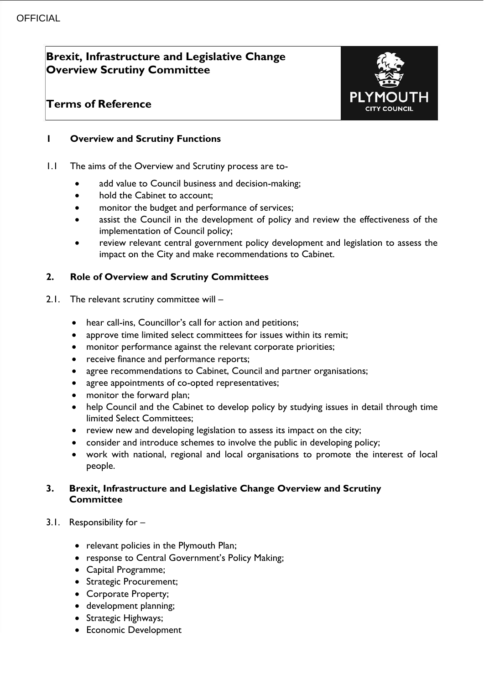# **Brexit, Infrastructure and Legislative Change Overview Scrutiny Committee**

## **Terms of Reference**



#### **1 Overview and Scrutiny Functions**

- 1.1 The aims of the Overview and Scrutiny process are to
	- add value to Council business and decision-making;
	- hold the Cabinet to account;
	- monitor the budget and performance of services;
	- assist the Council in the development of policy and review the effectiveness of the implementation of Council policy;
	- review relevant central government policy development and legislation to assess the impact on the City and make recommendations to Cabinet.

### **2. Role of Overview and Scrutiny Committees**

- 2.1. The relevant scrutiny committee will
	- hear call-ins, Councillor's call for action and petitions;
	- approve time limited select committees for issues within its remit;
	- monitor performance against the relevant corporate priorities;
	- receive finance and performance reports;
	- agree recommendations to Cabinet, Council and partner organisations;
	- agree appointments of co-opted representatives;
	- monitor the forward plan;
	- help Council and the Cabinet to develop policy by studying issues in detail through time limited Select Committees;
	- review new and developing legislation to assess its impact on the city;
	- consider and introduce schemes to involve the public in developing policy;
	- work with national, regional and local organisations to promote the interest of local people.

#### **3. Brexit, Infrastructure and Legislative Change Overview and Scrutiny Committee**

- 3.1. Responsibility for
	- relevant policies in the Plymouth Plan;
	- response to Central Government's Policy Making;
	- Capital Programme;
	- Strategic Procurement;
	- Corporate Property;
	- development planning;
	- Strategic Highways;
	- **•** Economic Development